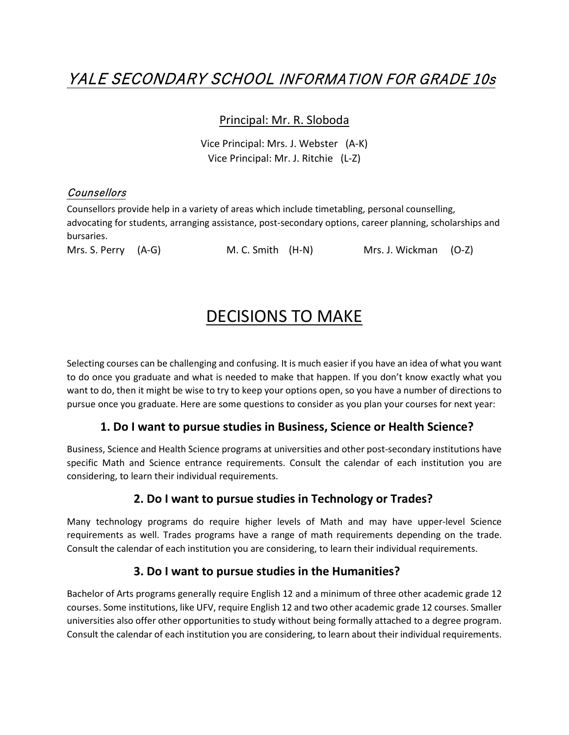# YALE SECONDARY SCHOOL INFORMATION FOR GRADE 10s

#### Principal: Mr. R. Sloboda

Vice Principal: Mrs. J. Webster (A-K) Vice Principal: Mr. J. Ritchie (L-Z)

### **Counsellors**

Counsellors provide help in a variety of areas which include timetabling, personal counselling, advocating for students, arranging assistance, post-secondary options, career planning, scholarships and bursaries.

Mrs. S. Perry (A-G) M. C. Smith (H-N) Mrs. J. Wickman (O-Z)

## DECISIONS TO MAKE

Selecting courses can be challenging and confusing. It is much easier if you have an idea of what you want to do once you graduate and what is needed to make that happen. If you don't know exactly what you want to do, then it might be wise to try to keep your options open, so you have a number of directions to pursue once you graduate. Here are some questions to consider as you plan your courses for next year:

#### **1. Do I want to pursue studies in Business, Science or Health Science?**

Business, Science and Health Science programs at universities and other post-secondary institutions have specific Math and Science entrance requirements. Consult the calendar of each institution you are considering, to learn their individual requirements.

### **2. Do I want to pursue studies in Technology or Trades?**

Many technology programs do require higher levels of Math and may have upper-level Science requirements as well. Trades programs have a range of math requirements depending on the trade. Consult the calendar of each institution you are considering, to learn their individual requirements.

### **3. Do I want to pursue studies in the Humanities?**

Bachelor of Arts programs generally require English 12 and a minimum of three other academic grade 12 courses. Some institutions, like UFV, require English 12 and two other academic grade 12 courses. Smaller universities also offer other opportunities to study without being formally attached to a degree program. Consult the calendar of each institution you are considering, to learn about their individual requirements.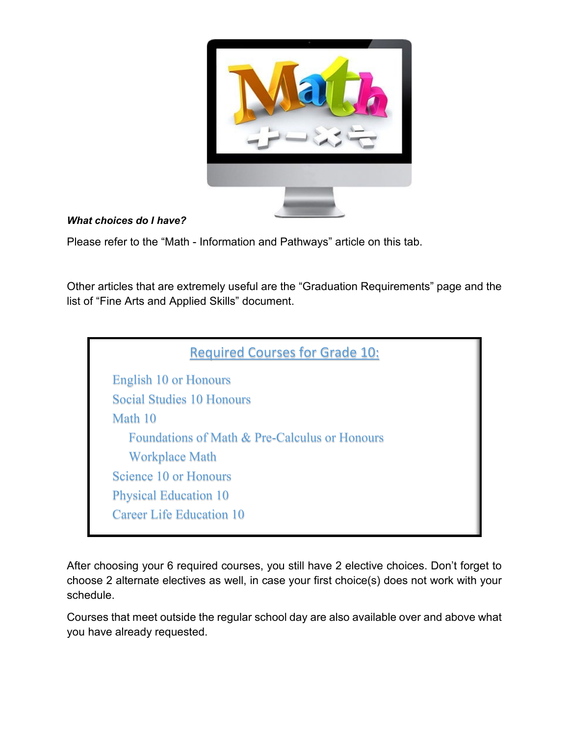

### *What choices do I have?*

Please refer to the "Math - Information and Pathways" article on this tab.

Other articles that are extremely useful are the "Graduation Requirements" page and the list of "Fine Arts and Applied Skills" document.



After choosing your 6 required courses, you still have 2 elective choices. Don't forget to choose 2 alternate electives as well, in case your first choice(s) does not work with your schedule.

Courses that meet outside the regular school day are also available over and above what you have already requested.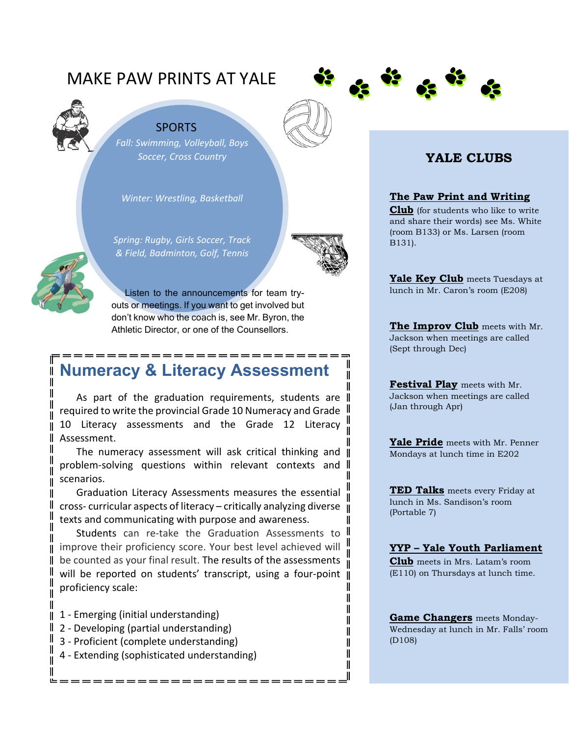# MAKE PAW PRINTS AT YALE





*Fall: Swimming, Volleyball, Boys Soccer, Cross Country*

*Winter: Wrestling, Basketball*

*Spring: Rugby, Girls Soccer, Track & Field, Badminton, Golf, Tennis*



II

Ш Ι Ш II Ι Ι II

Listen to the announcements for team tryouts or meetings. If you want to get involved but don't know who the coach is, see Mr. Byron, the Athletic Director, or one of the Counsellors.

# **Numeracy & Literacy Assessment**

As part of the graduation requirements, students are  $\parallel$ required to write the provincial Grade 10 Numeracy and Grade 10 Literacy assessments and the Grade 12 Literacy Assessment.

The numeracy assessment will ask critical thinking and II problem-solving questions within relevant contexts and scenarios.

Graduation Literacy Assessments measures the essential cross- curricular aspects of literacy – critically analyzing diverse texts and communicating with purpose and awareness.

Students can re-take the Graduation Assessments to II improve their proficiency score. Your best level achieved will be counted as your final result. The results of the assessments  $\mathbf{u}$ will be reported on students' transcript, using a four-point || proficiency scale: II

- 1 Emerging (initial understanding)
- 2 Developing (partial understanding)
- 3 Proficient (complete understanding)
- 4 Extending (sophisticated understanding)

## **YALE CLUBS**

#### **The Paw Print and Writing**

**Club** (for students who like to write and share their words) see Ms. White (room B133) or Ms. Larsen (room B131).

**Yale Key Club** meets Tuesdays at lunch in Mr. Caron's room (E208)

**The Improv Club** meets with Mr. Jackson when meetings are called (Sept through Dec)

**Festival Play** meets with Mr. Jackson when meetings are called (Jan through Apr)

**Yale Pride** meets with Mr. Penner Mondays at lunch time in E202

**TED Talks** meets every Friday at lunch in Ms. Sandison's room (Portable 7)

#### **YYP – Yale Youth Parliament**

**Club** meets in Mrs. Latam's room (E110) on Thursdays at lunch time.

**Game Changers** meets Monday-Wednesday at lunch in Mr. Falls' room (D108)